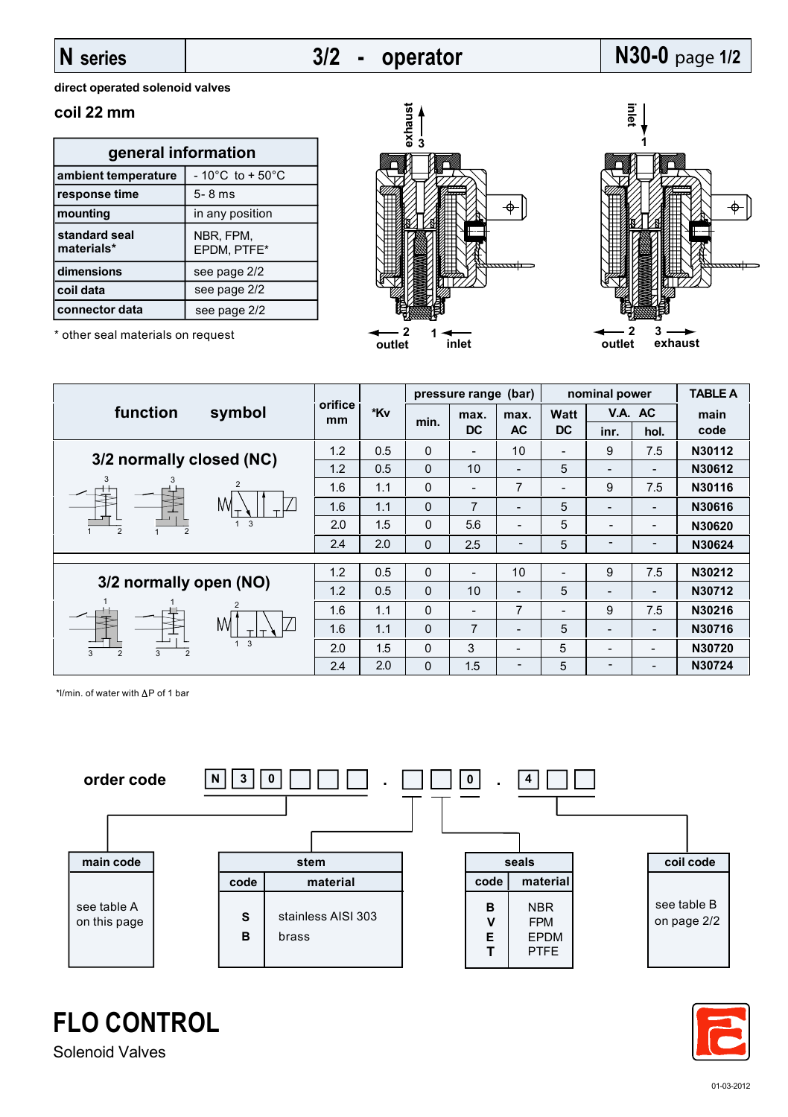## **N series**

## **3/2 - operator**

# **N30-0** page **1/2**

**direct operated solenoid valves**

### **coil 22 mm**

| general information         |                                      |  |  |  |  |  |
|-----------------------------|--------------------------------------|--|--|--|--|--|
| ambient temperature         | $-10^{\circ}$ C to + 50 $^{\circ}$ C |  |  |  |  |  |
| response time               | $5 - 8$ ms                           |  |  |  |  |  |
| mounting                    | in any position                      |  |  |  |  |  |
| standard seal<br>materials* | NBR, FPM,<br>EPDM, PTFE*             |  |  |  |  |  |
| dimensions                  | see page 2/2                         |  |  |  |  |  |
| coil data                   | see page 2/2                         |  |  |  |  |  |
| connector data              | see page 2/2                         |  |  |  |  |  |

\* other seal materials on request





|                               | symbol                   | orifice<br>mm | *Kv | (bar)<br>pressure range |                          |                   | nominal power            |                          |                          | <b>TABLE A</b> |
|-------------------------------|--------------------------|---------------|-----|-------------------------|--------------------------|-------------------|--------------------------|--------------------------|--------------------------|----------------|
| function                      |                          |               |     | min.                    | max.<br><b>DC</b>        | max.<br><b>AC</b> | <b>Watt</b><br><b>DC</b> | V.A. AC                  |                          | main           |
|                               |                          |               |     |                         |                          |                   |                          | inr.                     | hol.                     | code           |
| 3/2 normally closed (NC)      |                          | 1.2           | 0.5 | 0                       | $\overline{\phantom{a}}$ | 10                | $\overline{\phantom{a}}$ | 9                        | 7.5                      | N30112         |
|                               |                          | 1.2           | 0.5 | 0                       | 10                       |                   | 5                        | $\overline{\phantom{0}}$ |                          | N30612         |
| 3                             | $\overline{2}$<br>M<br>3 | 1.6           | 1.1 | 0                       | $\overline{\phantom{0}}$ | 7                 |                          | 9                        | 7.5                      | N30116         |
|                               |                          | 1.6           | 1.1 | 0                       | 7                        |                   | 5                        | $\overline{\phantom{0}}$ | $\overline{\phantom{a}}$ | N30616         |
| 2<br>$\overline{2}$           |                          | 2.0           | 1.5 | 0                       | 5.6                      |                   | 5                        | $\overline{\phantom{0}}$ | $\overline{\phantom{a}}$ | N30620         |
|                               |                          | 2.4           | 2.0 | 0                       | 2.5                      |                   | 5                        |                          |                          | N30624         |
|                               |                          |               |     |                         |                          |                   |                          |                          |                          |                |
| 3/2 normally open (NO)        |                          | 1.2           | 0.5 | 0                       |                          | 10                |                          | 9                        | 7.5                      | N30212         |
|                               |                          | 1.2           | 0.5 | $\Omega$                | 10                       |                   | 5                        | $\overline{\phantom{0}}$ | $\overline{\phantom{a}}$ | N30712         |
|                               | M<br>3                   | 1.6           | 1.1 | 0                       | $\overline{a}$           | 7                 | $\overline{\phantom{a}}$ | 9                        | 7.5                      | N30216         |
|                               |                          | 1.6           | 1.1 | $\Omega$                | 7                        |                   | 5                        | $\overline{\phantom{0}}$ | $\blacksquare$           | N30716         |
| 3<br>$\overline{2}$<br>3<br>2 |                          | 2.0           | 1.5 | 0                       | 3                        |                   | 5                        | $\overline{\phantom{0}}$ | -                        | N30720         |
|                               |                          | 2.4           | 2.0 | 0                       | 1.5                      | -                 | 5                        | $\overline{\phantom{0}}$ |                          | N30724         |

\*l/min. of water with  $\Delta P$  of 1 bar





**FLO CONTROL**

Solenoid Valves